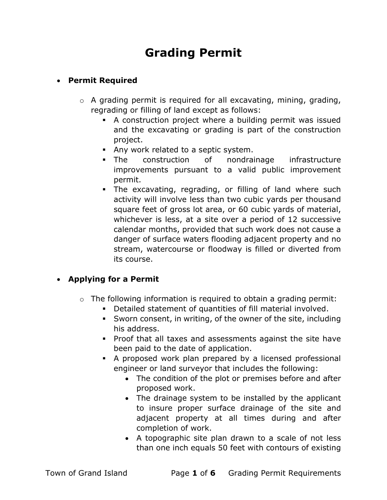# Grading Permit

# Permit Required

- $\circ$  A grading permit is required for all excavating, mining, grading, regrading or filling of land except as follows:
	- A construction project where a building permit was issued and the excavating or grading is part of the construction project.
	- Any work related to a septic system.
	- The construction of nondrainage infrastructure improvements pursuant to a valid public improvement permit.
	- The excavating, regrading, or filling of land where such activity will involve less than two cubic yards per thousand square feet of gross lot area, or 60 cubic yards of material, whichever is less, at a site over a period of 12 successive calendar months, provided that such work does not cause a danger of surface waters flooding adjacent property and no stream, watercourse or floodway is filled or diverted from its course.

# • Applying for a Permit

- $\circ$  The following information is required to obtain a grading permit:
	- Detailed statement of quantities of fill material involved.
	- Sworn consent, in writing, of the owner of the site, including his address.
	- Proof that all taxes and assessments against the site have been paid to the date of application.
	- A proposed work plan prepared by a licensed professional engineer or land surveyor that includes the following:
		- The condition of the plot or premises before and after proposed work.
		- The drainage system to be installed by the applicant to insure proper surface drainage of the site and adjacent property at all times during and after completion of work.
		- A topographic site plan drawn to a scale of not less than one inch equals 50 feet with contours of existing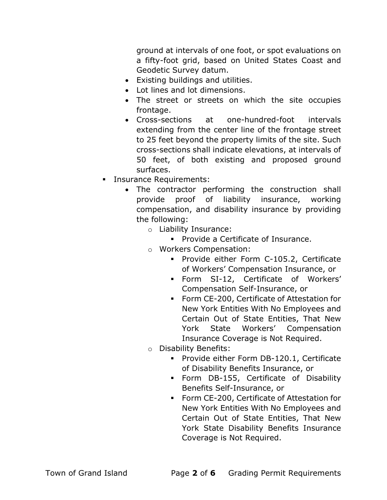ground at intervals of one foot, or spot evaluations on a fifty-foot grid, based on United States Coast and Geodetic Survey datum.

- Existing buildings and utilities.
- Lot lines and lot dimensions.
- The street or streets on which the site occupies frontage.
- Cross-sections at one-hundred-foot intervals extending from the center line of the frontage street to 25 feet beyond the property limits of the site. Such cross-sections shall indicate elevations, at intervals of 50 feet, of both existing and proposed ground surfaces.
- **Insurance Requirements:** 
	- The contractor performing the construction shall provide proof of liability insurance, working compensation, and disability insurance by providing the following:
		- o Liability Insurance:
			- **Provide a Certificate of Insurance.**
		- o Workers Compensation:
			- **Provide either Form C-105.2, Certificate** of Workers' Compensation Insurance, or
			- Form SI-12, Certificate of Workers' Compensation Self-Insurance, or
			- Form CE-200, Certificate of Attestation for New York Entities With No Employees and Certain Out of State Entities, That New York State Workers' Compensation Insurance Coverage is Not Required.
		- o Disability Benefits:
			- **Provide either Form DB-120.1, Certificate** of Disability Benefits Insurance, or
			- Form DB-155, Certificate of Disability Benefits Self-Insurance, or
			- Form CE-200, Certificate of Attestation for New York Entities With No Employees and Certain Out of State Entities, That New York State Disability Benefits Insurance Coverage is Not Required.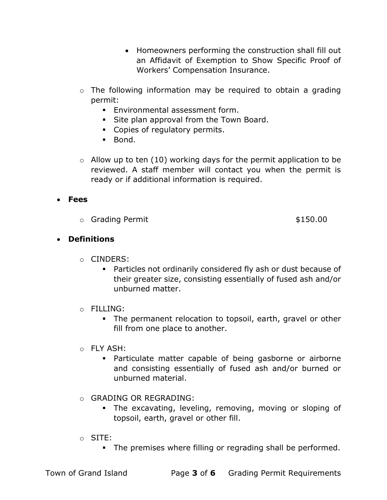- Homeowners performing the construction shall fill out an Affidavit of Exemption to Show Specific Proof of Workers' Compensation Insurance.
- o The following information may be required to obtain a grading permit:
	- **Environmental assessment form.**
	- Site plan approval from the Town Board.
	- Copies of regulatory permits.
	- **Bond.**
- $\circ$  Allow up to ten (10) working days for the permit application to be reviewed. A staff member will contact you when the permit is ready or if additional information is required.

## Fees

o Grading Permit \$150.00

## Definitions

- o CINDERS:
	- Particles not ordinarily considered fly ash or dust because of their greater size, consisting essentially of fused ash and/or unburned matter.
- o FILLING:
	- The permanent relocation to topsoil, earth, gravel or other fill from one place to another.
- o FLY ASH:
	- Particulate matter capable of being gasborne or airborne and consisting essentially of fused ash and/or burned or unburned material.
- o GRADING OR REGRADING:
	- The excavating, leveling, removing, moving or sloping of topsoil, earth, gravel or other fill.
- o SITE:
	- The premises where filling or regrading shall be performed.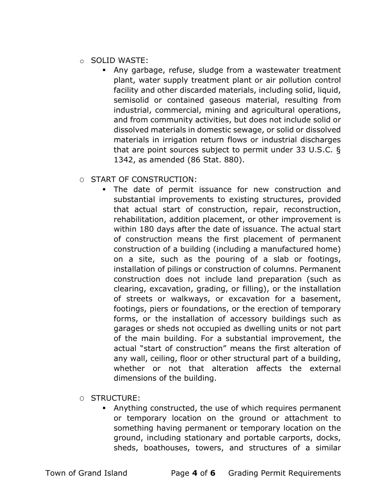- o SOLID WASTE:
	- Any garbage, refuse, sludge from a wastewater treatment plant, water supply treatment plant or air pollution control facility and other discarded materials, including solid, liquid, semisolid or contained gaseous material, resulting from industrial, commercial, mining and agricultural operations, and from community activities, but does not include solid or dissolved materials in domestic sewage, or solid or dissolved materials in irrigation return flows or industrial discharges that are point sources subject to permit under 33 U.S.C. § 1342, as amended (86 Stat. 880).

#### O START OF CONSTRUCTION:

- The date of permit issuance for new construction and substantial improvements to existing structures, provided that actual start of construction, repair, reconstruction, rehabilitation, addition placement, or other improvement is within 180 days after the date of issuance. The actual start of construction means the first placement of permanent construction of a building (including a manufactured home) on a site, such as the pouring of a slab or footings, installation of pilings or construction of columns. Permanent construction does not include land preparation (such as clearing, excavation, grading, or filling), or the installation of streets or walkways, or excavation for a basement, footings, piers or foundations, or the erection of temporary forms, or the installation of accessory buildings such as garages or sheds not occupied as dwelling units or not part of the main building. For a substantial improvement, the actual "start of construction" means the first alteration of any wall, ceiling, floor or other structural part of a building, whether or not that alteration affects the external dimensions of the building.
- O STRUCTURE:
	- Anything constructed, the use of which requires permanent or temporary location on the ground or attachment to something having permanent or temporary location on the ground, including stationary and portable carports, docks, sheds, boathouses, towers, and structures of a similar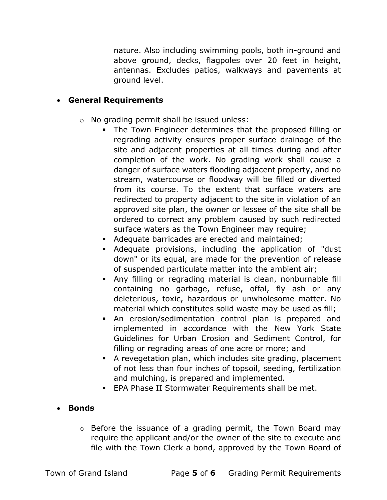nature. Also including swimming pools, both in-ground and above ground, decks, flagpoles over 20 feet in height, antennas. Excludes patios, walkways and pavements at ground level.

#### General Requirements

- o No grading permit shall be issued unless:
	- The Town Engineer determines that the proposed filling or regrading activity ensures proper surface drainage of the site and adjacent properties at all times during and after completion of the work. No grading work shall cause a danger of surface waters flooding adjacent property, and no stream, watercourse or floodway will be filled or diverted from its course. To the extent that surface waters are redirected to property adjacent to the site in violation of an approved site plan, the owner or lessee of the site shall be ordered to correct any problem caused by such redirected surface waters as the Town Engineer may require;
	- Adequate barricades are erected and maintained;
	- Adequate provisions, including the application of "dust down" or its equal, are made for the prevention of release of suspended particulate matter into the ambient air;
	- Any filling or regrading material is clean, nonburnable fill containing no garbage, refuse, offal, fly ash or any deleterious, toxic, hazardous or unwholesome matter. No material which constitutes solid waste may be used as fill;
	- An erosion/sedimentation control plan is prepared and implemented in accordance with the New York State Guidelines for Urban Erosion and Sediment Control, for filling or regrading areas of one acre or more; and
	- A revegetation plan, which includes site grading, placement of not less than four inches of topsoil, seeding, fertilization and mulching, is prepared and implemented.
	- **EPA Phase II Stormwater Requirements shall be met.**

#### • Bonds

o Before the issuance of a grading permit, the Town Board may require the applicant and/or the owner of the site to execute and file with the Town Clerk a bond, approved by the Town Board of